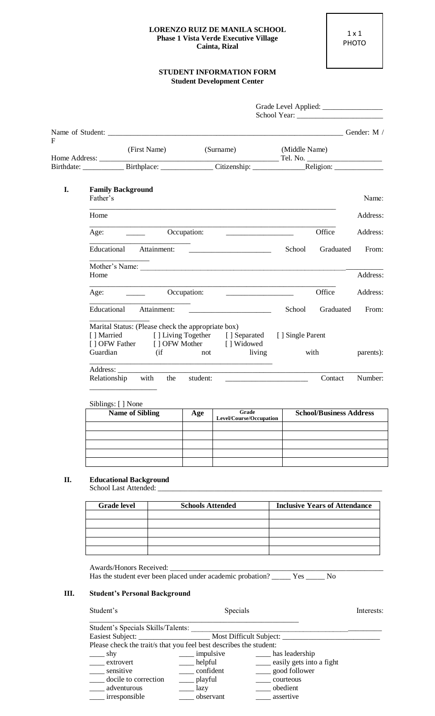## **LORENZO RUIZ DE MANILA SCHOOL Phase 1 Vista Verde Executive Village Cainta, Rizal**

## **STUDENT INFORMATION FORM Student Development Center**

| F  | (First Name)                                                                                                                |     | (Surname)                                                                                                                                                                                                                            | (Middle Name) |                                |           |
|----|-----------------------------------------------------------------------------------------------------------------------------|-----|--------------------------------------------------------------------------------------------------------------------------------------------------------------------------------------------------------------------------------------|---------------|--------------------------------|-----------|
|    |                                                                                                                             |     |                                                                                                                                                                                                                                      |               |                                |           |
| I. | <b>Family Background</b><br>Father's                                                                                        |     |                                                                                                                                                                                                                                      |               |                                | Name:     |
|    | Home                                                                                                                        |     |                                                                                                                                                                                                                                      |               |                                | Address:  |
|    |                                                                                                                             |     |                                                                                                                                                                                                                                      |               | Office                         | Address:  |
|    | Educational Attainment:                                                                                                     |     |                                                                                                                                                                                                                                      |               | School Graduated               | From:     |
|    | Home                                                                                                                        |     |                                                                                                                                                                                                                                      |               |                                | Address:  |
|    |                                                                                                                             |     |                                                                                                                                                                                                                                      |               | Office                         | Address:  |
|    | Educational Attainment:                                                                                                     |     | <u> 1999 - Johann Harry Harry Harry Harry Harry Harry Harry Harry Harry Harry Harry Harry Harry Harry Harry Harry Harry Harry Harry Harry Harry Harry Harry Harry Harry Harry Harry Harry Harry Harry Harry Harry Harry Harry Ha</u> |               | School Graduated               | From:     |
|    | Marital Status: (Please check the appropriate box)<br>[ ] Married<br>[] OFW Father [] OFW Mother [] Widowed<br>Guardian (if |     | [] Living Together [] Separated [] Single Parent<br>not living                                                                                                                                                                       |               | with                           | parents): |
|    | <u> 1989 - Johann Barbara, margaret eta biztanleria (h. 1989).</u><br>Address:<br>Relationship with the student:            |     | <u> 2000 - Jan James James Barnett, amerikansk politik (</u> † 1                                                                                                                                                                     |               | Contact                        | Number:   |
|    | Siblings: [ ] None                                                                                                          |     |                                                                                                                                                                                                                                      |               |                                |           |
|    | <b>Name of Sibling</b>                                                                                                      | Age | Grade<br>Level/Course/Occupation                                                                                                                                                                                                     |               | <b>School/Business Address</b> |           |
|    |                                                                                                                             |     |                                                                                                                                                                                                                                      |               |                                |           |
|    |                                                                                                                             |     |                                                                                                                                                                                                                                      |               |                                |           |
|    |                                                                                                                             |     |                                                                                                                                                                                                                                      |               |                                |           |

## **II. Educational Background**

School Last Attended:

| <b>Grade level</b> | <b>Schools Attended</b> | <b>Inclusive Years of Attendance</b> |
|--------------------|-------------------------|--------------------------------------|
|                    |                         |                                      |
|                    |                         |                                      |
|                    |                         |                                      |
|                    |                         |                                      |
|                    |                         |                                      |

Awards/Honors Received: Has the student ever been placed under academic probation? \_\_\_\_\_ Yes \_\_\_\_\_ No

## **III. Student's Personal Background**

| Student's                                                          | Specials           |                          | Interests: |
|--------------------------------------------------------------------|--------------------|--------------------------|------------|
| Student's Specials Skills/Talents:                                 |                    |                          |            |
|                                                                    |                    |                          |            |
| Please check the trait/s that you feel best describes the student: |                    |                          |            |
| $\Box$ shy                                                         | $\equiv$ impulsive | has leadership           |            |
| extrovert                                                          | $\equiv$ helpful   | easily gets into a fight |            |
| sensitive                                                          | confident          | ____ good follower       |            |
| docile to correction                                               | __ playful         | courteous                |            |
| adventurous                                                        | __ lazy            | obedient                 |            |
| irresponsible                                                      | observant          | assertive                |            |